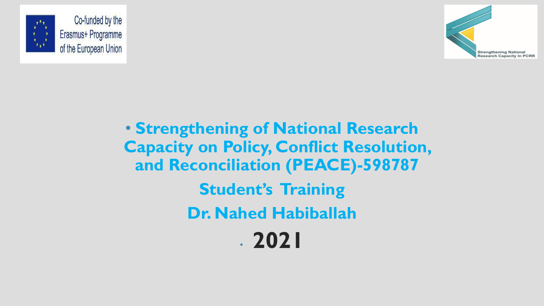



• **Strengthening of National Research Capacity on Policy, Conflict Resolution, and Reconciliation (PEACE)-598787 Student's Training Dr. Nahed Habiballah** • **2021**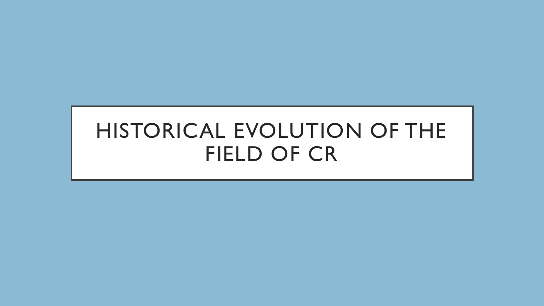# HISTORICAL EVOLUTION OF THE FIELD OF CR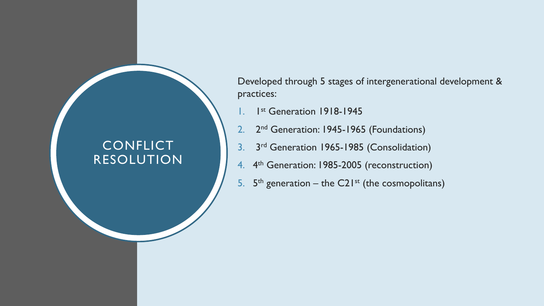#### **CONFLICT** RESOLUTION

Developed through 5 stages of intergenerational development & practices:

- 1. 1 st Generation 1918-1945
- 2. 2<sup>nd</sup> Generation: 1945-1965 (Foundations)
- 3. 3<sup>rd</sup> Generation 1965-1985 (Consolidation)
- 4. 4<sup>th</sup> Generation: 1985-2005 (reconstruction)
- 5.  $5<sup>th</sup>$  generation the C21<sup>st</sup> (the cosmopolitans)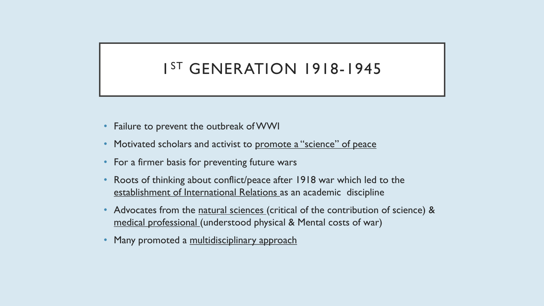### 1 ST GENERATION 1918-1945

- Failure to prevent the outbreak of WWI
- Motivated scholars and activist to promote a "science" of peace
- For a firmer basis for preventing future wars
- Roots of thinking about conflict/peace after 1918 war which led to the establishment of International Relations as an academic discipline
- Advocates from the natural sciences (critical of the contribution of science) & medical professional (understood physical & Mental costs of war)
- Many promoted a multidisciplinary approach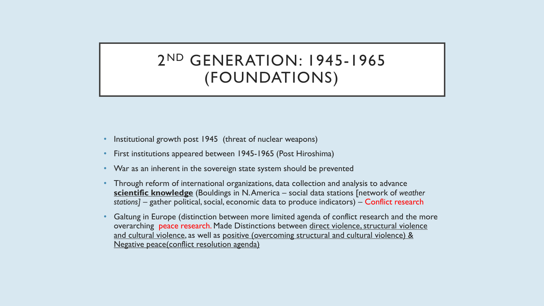#### 2 ND GENERATION: 1945-1965 (FOUNDATIONS)

- Institutional growth post 1945 (threat of nuclear weapons)
- First institutions appeared between 1945-1965 (Post Hiroshima)
- War as an inherent in the sovereign state system should be prevented
- Through reform of international organizations, data collection and analysis to advance **scientific knowledge** (Bouldings in N. America – social data stations [network of *weather stations] –* gather political, social, economic data to produce indicators) – Conflict research
- Galtung in Europe (distinction between more limited agenda of conflict research and the more overarching peace research. Made Distinctions between direct violence, structural violence and cultural violence, as well as positive (overcoming structural and cultural violence) & Negative peace(conflict resolution agenda)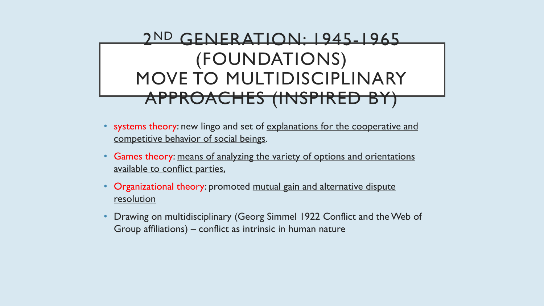## 2 ND GENERATION: 1945-1965 (FOUNDATIONS) MOVE TO MULTIDISCIPLINARY APPROACHES (INSPIRED BY)

- systems theory: new lingo and set of explanations for the cooperative and competitive behavior of social beings.
- Games theory: means of analyzing the variety of options and orientations available to conflict parties,
- Organizational theory: promoted mutual gain and alternative dispute resolution
- Drawing on multidisciplinary (Georg Simmel 1922 Conflict and the Web of Group affiliations) – conflict as intrinsic in human nature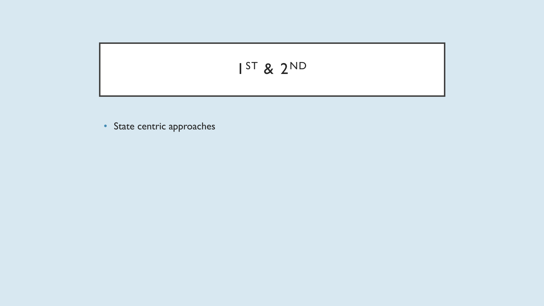$$
I^{ST} 8 2^{ND}
$$

• State centric approaches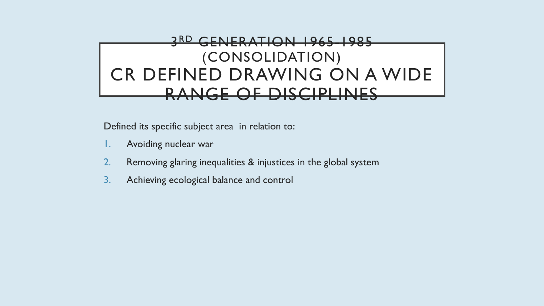#### 3 RD GENERATION 1965-1985 (CONSOLIDATION) CR DEFINED DRAWING ON A WIDE RANGE OF DISCIPLINES

Defined its specific subject area in relation to:

- 1. Avoiding nuclear war
- 2. Removing glaring inequalities & injustices in the global system
- 3. Achieving ecological balance and control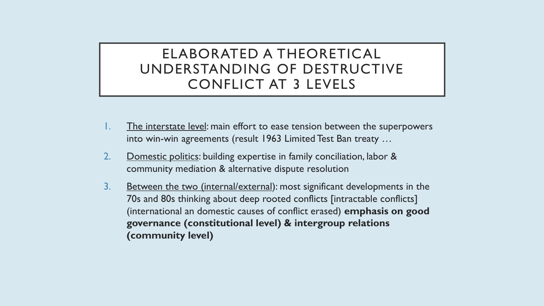#### ELABORATED A THEORETICAL UNDERSTANDING OF DESTRUCTIVE CONFLICT AT 3 LEVELS

- 1. The interstate level: main effort to ease tension between the superpowers into win-win agreements (result 1963 Limited Test Ban treaty …
- 2. Domestic politics: building expertise in family conciliation, labor & community mediation & alternative dispute resolution
- 3. Between the two (internal/external): most significant developments in the 70s and 80s thinking about deep rooted conflicts [intractable conflicts] (international an domestic causes of conflict erased) **emphasis on good governance (constitutional level) & intergroup relations (community level)**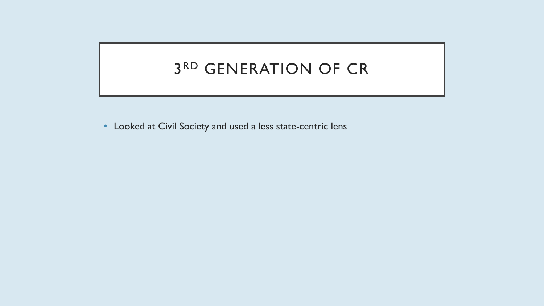#### 3 RD GENERATION OF CR

• Looked at Civil Society and used a less state-centric lens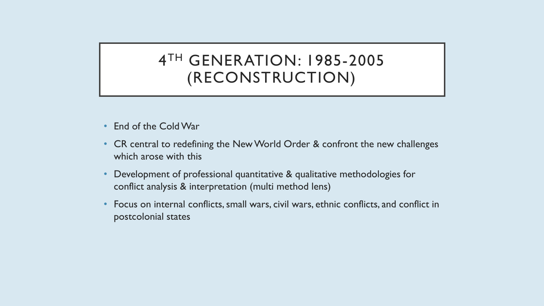#### 4 TH GENERATION: 1985-2005 (RECONSTRUCTION)

- End of the Cold War
- CR central to redefining the New World Order & confront the new challenges which arose with this
- Development of professional quantitative & qualitative methodologies for conflict analysis & interpretation (multi method lens)
- Focus on internal conflicts, small wars, civil wars, ethnic conflicts, and conflict in postcolonial states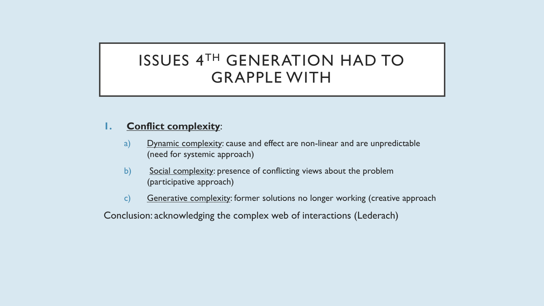#### **1. Conflict complexity**:

- a) Dynamic complexity: cause and effect are non-linear and are unpredictable (need for systemic approach)
- b) Social complexity: presence of conflicting views about the problem (participative approach)
- c) Generative complexity: former solutions no longer working (creative approach

Conclusion: acknowledging the complex web of interactions (Lederach)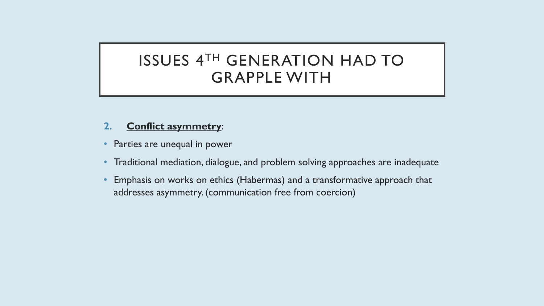#### **2. Conflict asymmetry**:

- Parties are unequal in power
- Traditional mediation, dialogue, and problem solving approaches are inadequate
- Emphasis on works on ethics (Habermas) and a transformative approach that addresses asymmetry. (communication free from coercion)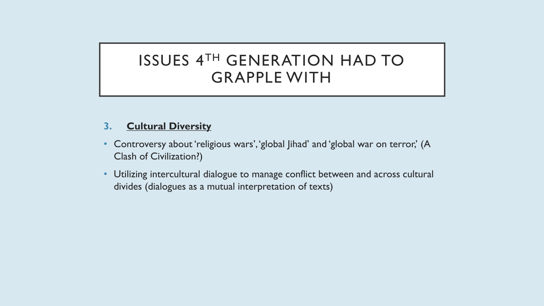#### **3. Cultural Diversity**

- Controversy about 'religious wars', 'global Jihad' and 'global war on terror,' (A Clash of Civilization?)
- Utilizing intercultural dialogue to manage conflict between and across cultural divides (dialogues as a mutual interpretation of texts)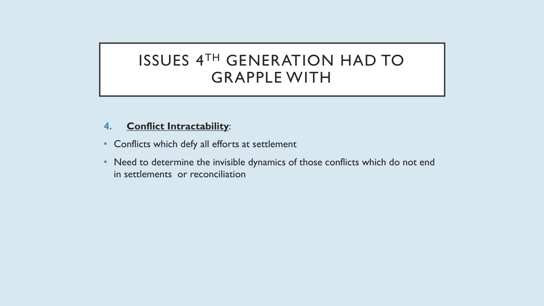#### **4. Conflict Intractability**:

- Conflicts which defy all efforts at settlement
- Need to determine the invisible dynamics of those conflicts which do not end in settlements or reconciliation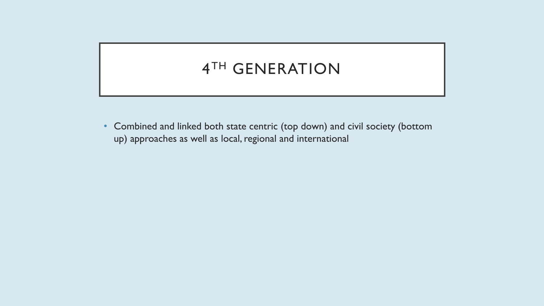### 4 TH GENERATION

• Combined and linked both state centric (top down) and civil society (bottom up) approaches as well as local, regional and international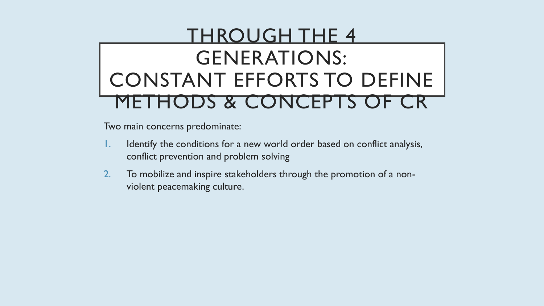# THROUGH THE 4 GENERATIONS: CONSTANT EFFORTS TO DEFINE DS & CONCEPTS OF CR

Two main concerns predominate:

- 1. Identify the conditions for a new world order based on conflict analysis, conflict prevention and problem solving
- 2. To mobilize and inspire stakeholders through the promotion of a nonviolent peacemaking culture.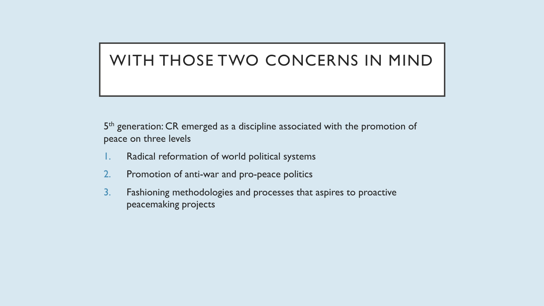#### WITH THOSE TWO CONCERNS IN MIND

5<sup>th</sup> generation: CR emerged as a discipline associated with the promotion of peace on three levels

- 1. Radical reformation of world political systems
- 2. Promotion of anti-war and pro-peace politics
- 3. Fashioning methodologies and processes that aspires to proactive peacemaking projects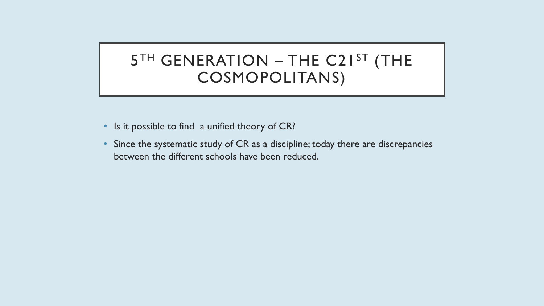### 5TH GENERATION – THE C21ST (THE COSMOPOLITANS)

- Is it possible to find a unified theory of CR?
- Since the systematic study of CR as a discipline; today there are discrepancies between the different schools have been reduced.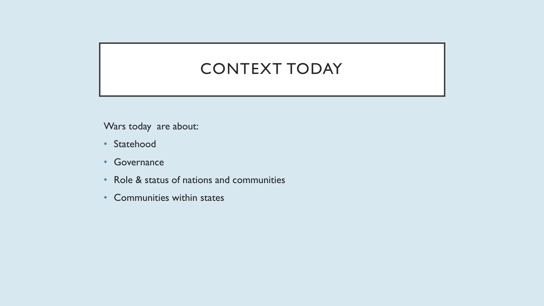#### CONTEXT TODAY

Wars today are about:

- Statehood
- Governance
- Role & status of nations and communities
- Communities within states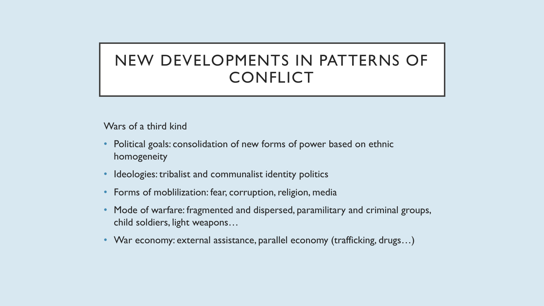### NEW DEVELOPMENTS IN PATTERNS OF **CONFLICT**

Wars of a third kind

- Political goals: consolidation of new forms of power based on ethnic homogeneity
- Ideologies: tribalist and communalist identity politics
- Forms of moblilization: fear, corruption, religion, media
- Mode of warfare: fragmented and dispersed, paramilitary and criminal groups, child soldiers, light weapons…
- War economy: external assistance, parallel economy (trafficking, drugs…)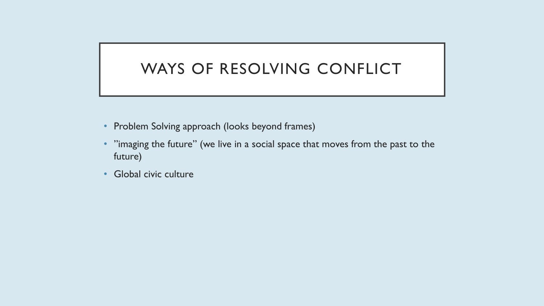#### WAYS OF RESOLVING CONFLICT

- Problem Solving approach (looks beyond frames)
- "imaging the future" (we live in a social space that moves from the past to the future)
- Global civic culture